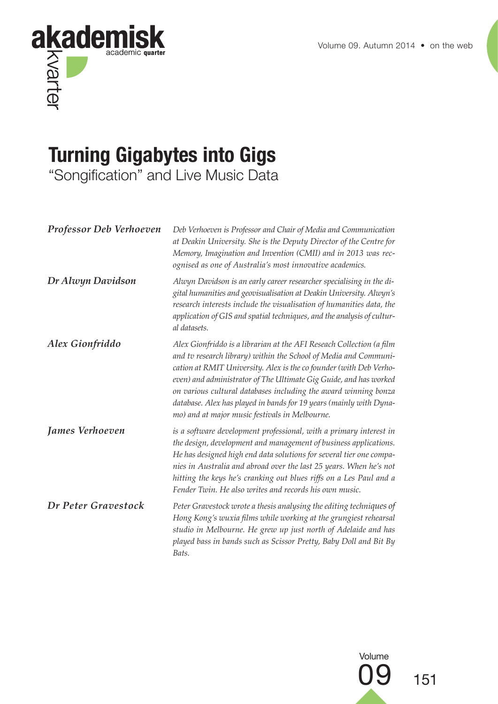

# **Turning Gigabytes into Gigs**

"Songification" and Live Music Data

| <b>Professor Deb Verhoeven</b> | Deb Verhoeven is Professor and Chair of Media and Communication<br>at Deakin University. She is the Deputy Director of the Centre for<br>Memory, Imagination and Invention (CMII) and in 2013 was rec-<br>ognised as one of Australia's most innovative academics.                                                                                                                                                                                                             |
|--------------------------------|--------------------------------------------------------------------------------------------------------------------------------------------------------------------------------------------------------------------------------------------------------------------------------------------------------------------------------------------------------------------------------------------------------------------------------------------------------------------------------|
| Dr Alwyn Davidson              | Alwyn Davidson is an early career researcher specialising in the di-<br>gital humanities and geovisualisation at Deakin University. Alwyn's<br>research interests include the visualisation of humanities data, the<br>application of GIS and spatial techniques, and the analysis of cultur-<br>al datasets.                                                                                                                                                                  |
| Alex Gionfriddo                | Alex Gionfriddo is a librarian at the AFI Reseach Collection (a film<br>and tv research library) within the School of Media and Communi-<br>cation at RMIT University. Alex is the co founder (with Deb Verho-<br>even) and administrator of The Ultimate Gig Guide, and has worked<br>on various cultural databases including the award winning bonza<br>database. Alex has played in bands for 19 years (mainly with Dyna-<br>mo) and at major music festivals in Melbourne. |
| James Verhoeven                | is a software development professional, with a primary interest in<br>the design, development and management of business applications.<br>He has designed high end data solutions for several tier one compa-<br>nies in Australia and abroad over the last 25 years. When he's not<br>hitting the keys he's cranking out blues riffs on a Les Paul and a<br>Fender Twin. He also writes and records his own music.                                                            |
| Dr Peter Gravestock            | Peter Gravestock wrote a thesis analysing the editing techniques of<br>Hong Kong's wuxia films while working at the grungiest rehearsal<br>studio in Melbourne. He grew up just north of Adelaide and has<br>played bass in bands such as Scissor Pretty, Baby Doll and Bit By<br>Bats.                                                                                                                                                                                        |

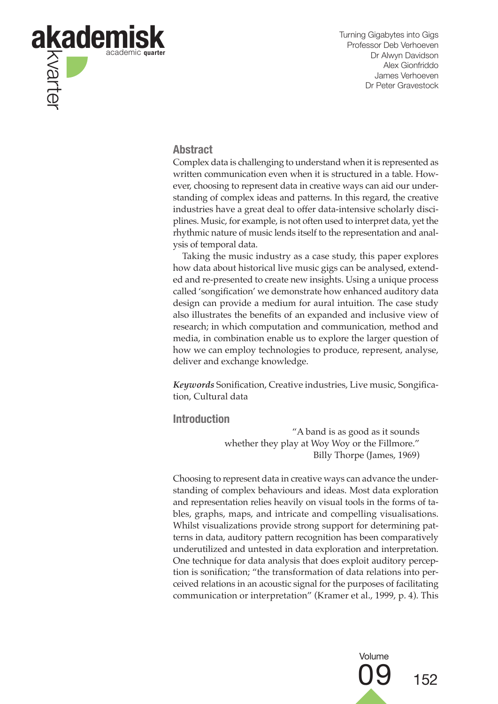

#### **Abstract**

Complex data is challenging to understand when it is represented as written communication even when it is structured in a table. However, choosing to represent data in creative ways can aid our understanding of complex ideas and patterns. In this regard, the creative industries have a great deal to offer data-intensive scholarly disciplines. Music, for example, is not often used to interpret data, yet the rhythmic nature of music lends itself to the representation and analysis of temporal data.

Taking the music industry as a case study, this paper explores how data about historical live music gigs can be analysed, extended and re-presented to create new insights. Using a unique process called 'songification' we demonstrate how enhanced auditory data design can provide a medium for aural intuition. The case study also illustrates the benefits of an expanded and inclusive view of research; in which computation and communication, method and media, in combination enable us to explore the larger question of how we can employ technologies to produce, represent, analyse, deliver and exchange knowledge.

*Keywords* Sonification, Creative industries, Live music, Songification, Cultural data

**Introduction**

"A band is as good as it sounds whether they play at Woy Woy or the Fillmore." Billy Thorpe (James, 1969)

Choosing to represent data in creative ways can advance the understanding of complex behaviours and ideas. Most data exploration and representation relies heavily on visual tools in the forms of tables, graphs, maps, and intricate and compelling visualisations. Whilst visualizations provide strong support for determining patterns in data, auditory pattern recognition has been comparatively underutilized and untested in data exploration and interpretation. One technique for data analysis that does exploit auditory perception is sonification; "the transformation of data relations into perceived relations in an acoustic signal for the purposes of facilitating communication or interpretation" (Kramer et al., 1999, p. 4). This

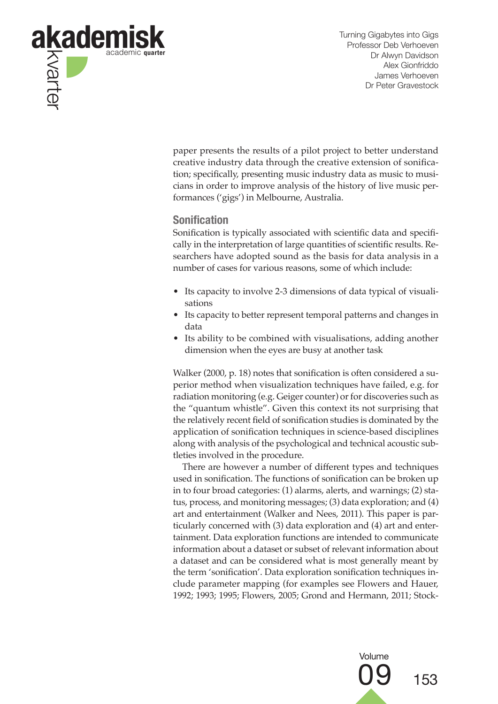

paper presents the results of a pilot project to better understand creative industry data through the creative extension of sonification; specifically, presenting music industry data as music to musicians in order to improve analysis of the history of live music performances ('gigs') in Melbourne, Australia.

## **Sonification**

Sonification is typically associated with scientific data and specifically in the interpretation of large quantities of scientific results. Researchers have adopted sound as the basis for data analysis in a number of cases for various reasons, some of which include:

- Its capacity to involve 2-3 dimensions of data typical of visualisations
- Its capacity to better represent temporal patterns and changes in data
- Its ability to be combined with visualisations, adding another dimension when the eyes are busy at another task

Walker (2000, p. 18) notes that sonification is often considered a superior method when visualization techniques have failed, e.g. for radiation monitoring (e.g. Geiger counter) or for discoveries such as the "quantum whistle". Given this context its not surprising that the relatively recent field of sonification studies is dominated by the application of sonification techniques in science-based disciplines along with analysis of the psychological and technical acoustic subtleties involved in the procedure.

There are however a number of different types and techniques used in sonification. The functions of sonification can be broken up in to four broad categories: (1) alarms, alerts, and warnings; (2) status, process, and monitoring messages; (3) data exploration; and (4) art and entertainment (Walker and Nees, 2011). This paper is particularly concerned with (3) data exploration and (4) art and entertainment. Data exploration functions are intended to communicate information about a dataset or subset of relevant information about a dataset and can be considered what is most generally meant by the term 'sonification'. Data exploration sonification techniques include parameter mapping (for examples see Flowers and Hauer, 1992; 1993; 1995; Flowers, 2005; Grond and Hermann, 2011; Stock-

> Volume 09 <sup>153</sup>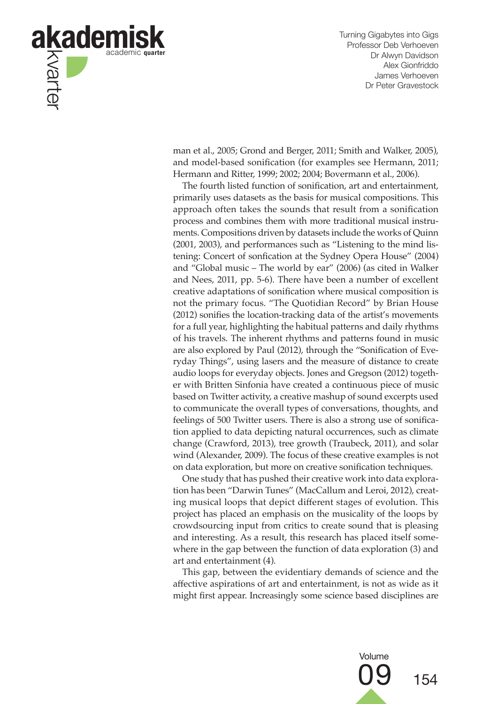

man et al., 2005; Grond and Berger, 2011; Smith and Walker, 2005), and model-based sonification (for examples see Hermann, 2011; Hermann and Ritter, 1999; 2002; 2004; Bovermann et al., 2006).

The fourth listed function of sonification, art and entertainment, primarily uses datasets as the basis for musical compositions. This approach often takes the sounds that result from a sonification process and combines them with more traditional musical instruments. Compositions driven by datasets include the works of Quinn (2001, 2003), and performances such as "Listening to the mind listening: Concert of sonfication at the Sydney Opera House" (2004) and "Global music – The world by ear" (2006) (as cited in Walker and Nees, 2011, pp. 5-6). There have been a number of excellent creative adaptations of sonification where musical composition is not the primary focus. "The Quotidian Record" by Brian House (2012) sonifies the location-tracking data of the artist's movements for a full year, highlighting the habitual patterns and daily rhythms of his travels. The inherent rhythms and patterns found in music are also explored by Paul (2012), through the "Sonification of Everyday Things", using lasers and the measure of distance to create audio loops for everyday objects. Jones and Gregson (2012) together with Britten Sinfonia have created a continuous piece of music based on Twitter activity, a creative mashup of sound excerpts used to communicate the overall types of conversations, thoughts, and feelings of 500 Twitter users. There is also a strong use of sonification applied to data depicting natural occurrences, such as climate change (Crawford, 2013), tree growth (Traubeck, 2011), and solar wind (Alexander, 2009). The focus of these creative examples is not on data exploration, but more on creative sonification techniques.

One study that has pushed their creative work into data exploration has been "Darwin Tunes" (MacCallum and Leroi, 2012), creating musical loops that depict different stages of evolution. This project has placed an emphasis on the musicality of the loops by crowdsourcing input from critics to create sound that is pleasing and interesting. As a result, this research has placed itself somewhere in the gap between the function of data exploration (3) and art and entertainment (4).

This gap, between the evidentiary demands of science and the affective aspirations of art and entertainment, is not as wide as it might first appear. Increasingly some science based disciplines are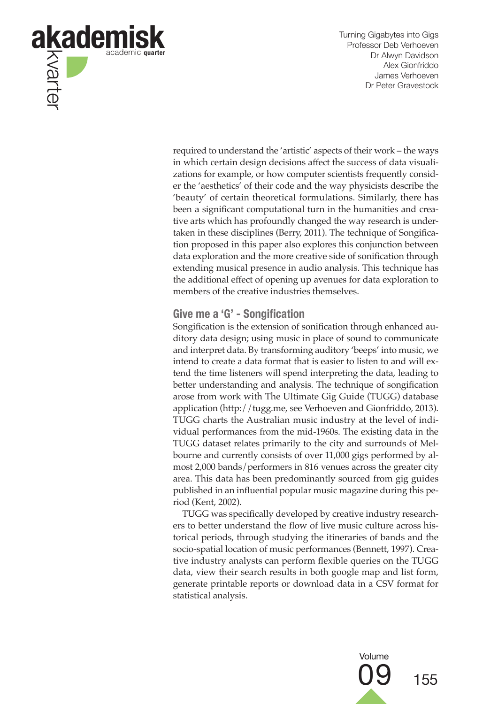

required to understand the 'artistic' aspects of their work – the ways in which certain design decisions affect the success of data visualizations for example, or how computer scientists frequently consider the 'aesthetics' of their code and the way physicists describe the 'beauty' of certain theoretical formulations. Similarly, there has been a significant computational turn in the humanities and creative arts which has profoundly changed the way research is undertaken in these disciplines (Berry, 2011). The technique of Songification proposed in this paper also explores this conjunction between data exploration and the more creative side of sonification through extending musical presence in audio analysis. This technique has the additional effect of opening up avenues for data exploration to members of the creative industries themselves.

# **Give me a 'G' - Songification**

Songification is the extension of sonification through enhanced auditory data design; using music in place of sound to communicate and interpret data. By transforming auditory 'beeps' into music, we intend to create a data format that is easier to listen to and will extend the time listeners will spend interpreting the data, leading to better understanding and analysis. The technique of songification arose from work with The Ultimate Gig Guide (TUGG) database application (http://tugg.me, see Verhoeven and Gionfriddo, 2013). TUGG charts the Australian music industry at the level of individual performances from the mid-1960s. The existing data in the TUGG dataset relates primarily to the city and surrounds of Melbourne and currently consists of over 11,000 gigs performed by almost 2,000 bands/performers in 816 venues across the greater city area. This data has been predominantly sourced from gig guides published in an influential popular music magazine during this period (Kent, 2002).

TUGG was specifically developed by creative industry researchers to better understand the flow of live music culture across historical periods, through studying the itineraries of bands and the socio-spatial location of music performances (Bennett, 1997). Creative industry analysts can perform flexible queries on the TUGG data, view their search results in both google map and list form, generate printable reports or download data in a CSV format for statistical analysis.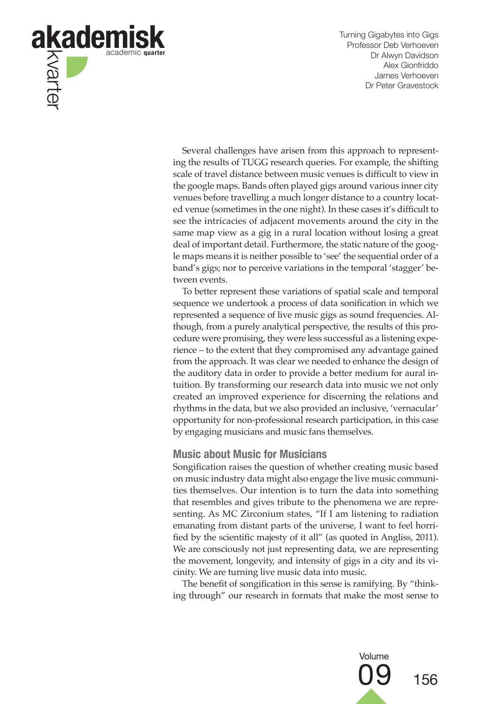

Several challenges have arisen from this approach to representing the results of TUGG research queries. For example, the shifting scale of travel distance between music venues is difficult to view in the google maps. Bands often played gigs around various inner city venues before travelling a much longer distance to a country located venue (sometimes in the one night). In these cases it's difficult to see the intricacies of adjacent movements around the city in the same map view as a gig in a rural location without losing a great deal of important detail. Furthermore, the static nature of the google maps means it is neither possible to 'see' the sequential order of a band's gigs; nor to perceive variations in the temporal 'stagger' between events.

To better represent these variations of spatial scale and temporal sequence we undertook a process of data sonification in which we represented a sequence of live music gigs as sound frequencies. Although, from a purely analytical perspective, the results of this procedure were promising, they were less successful as a listening experience – to the extent that they compromised any advantage gained from the approach. It was clear we needed to enhance the design of the auditory data in order to provide a better medium for aural intuition. By transforming our research data into music we not only created an improved experience for discerning the relations and rhythms in the data, but we also provided an inclusive, 'vernacular' opportunity for non-professional research participation, in this case by engaging musicians and music fans themselves.

#### **Music about Music for Musicians**

Songification raises the question of whether creating music based on music industry data might also engage the live music communities themselves. Our intention is to turn the data into something that resembles and gives tribute to the phenomena we are representing. As MC Zirconium states, "If I am listening to radiation emanating from distant parts of the universe, I want to feel horrified by the scientific majesty of it all" (as quoted in Angliss, 2011). We are consciously not just representing data, we are representing the movement, longevity, and intensity of gigs in a city and its vicinity. We are turning live music data into music.

The benefit of songification in this sense is ramifying. By "thinking through" our research in formats that make the most sense to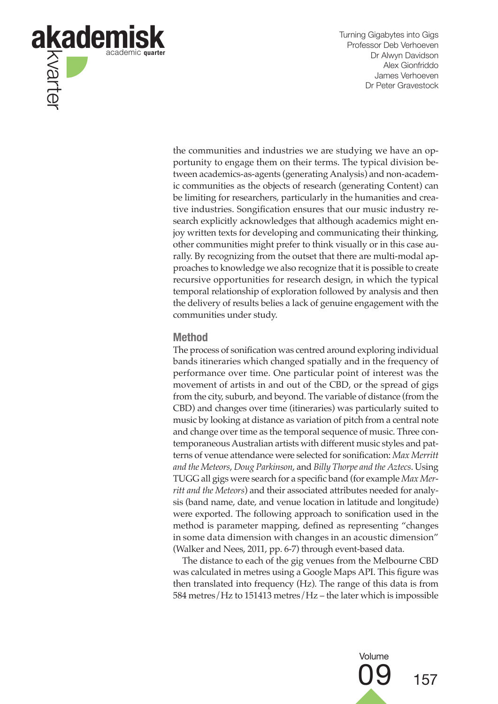

the communities and industries we are studying we have an opportunity to engage them on their terms. The typical division between academics-as-agents (generating Analysis) and non-academic communities as the objects of research (generating Content) can be limiting for researchers, particularly in the humanities and creative industries. Songification ensures that our music industry research explicitly acknowledges that although academics might enjoy written texts for developing and communicating their thinking, other communities might prefer to think visually or in this case aurally. By recognizing from the outset that there are multi-modal approaches to knowledge we also recognize that it is possible to create recursive opportunities for research design, in which the typical temporal relationship of exploration followed by analysis and then the delivery of results belies a lack of genuine engagement with the communities under study.

#### **Method**

The process of sonification was centred around exploring individual bands itineraries which changed spatially and in the frequency of performance over time. One particular point of interest was the movement of artists in and out of the CBD, or the spread of gigs from the city, suburb, and beyond. The variable of distance (from the CBD) and changes over time (itineraries) was particularly suited to music by looking at distance as variation of pitch from a central note and change over time as the temporal sequence of music. Three contemporaneous Australian artists with different music styles and patterns of venue attendance were selected for sonification: *Max Merritt and the Meteors*, *Doug Parkinson*, and *Billy Thorpe and the Aztecs*. Using TUGG all gigs were search for a specific band (for example *Max Merritt and the Meteors*) and their associated attributes needed for analysis (band name, date, and venue location in latitude and longitude) were exported. The following approach to sonification used in the method is parameter mapping, defined as representing "changes in some data dimension with changes in an acoustic dimension" (Walker and Nees, 2011, pp. 6-7) through event-based data.

The distance to each of the gig venues from the Melbourne CBD was calculated in metres using a Google Maps API. This figure was then translated into frequency (Hz). The range of this data is from 584 metres/Hz to 151413 metres/Hz – the later which is impossible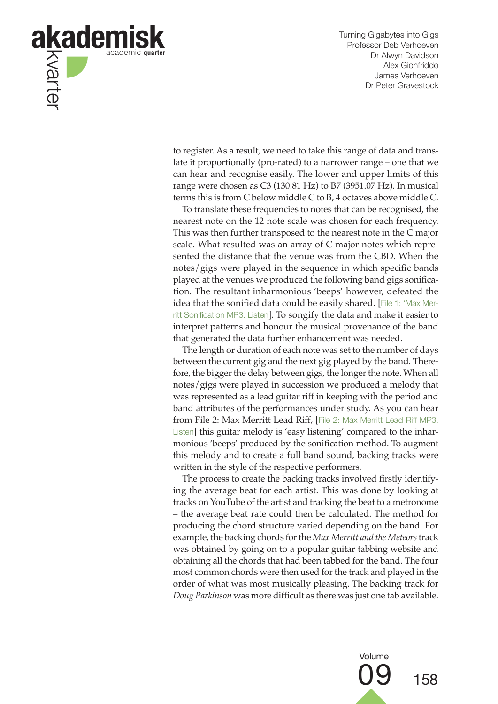

to register. As a result, we need to take this range of data and translate it proportionally (pro-rated) to a narrower range – one that we can hear and recognise easily. The lower and upper limits of this range were chosen as C3 (130.81 Hz) to B7 (3951.07 Hz). In musical terms this is from C below middle C to B, 4 octaves above middle C.

To translate these frequencies to notes that can be recognised, the nearest note on the 12 note scale was chosen for each frequency. This was then further transposed to the nearest note in the C major scale. What resulted was an array of C major notes which represented the distance that the venue was from the CBD. When the notes/gigs were played in the sequence in which specific bands played at the venues we produced the following band gigs sonification. The resultant inharmonious 'beeps' however, defeated the idea that the sonified data could be easily shared. [File 1: 'Max Merritt Sonification MP3. Listen]. To songify the data and make it easier to interpret patterns and honour the musical provenance of the band that generated the data further enhancement was needed.

The length or duration of each note was set to the number of days between the current gig and the next gig played by the band. Therefore, the bigger the delay between gigs, the longer the note. When all notes/gigs were played in succession we produced a melody that was represented as a lead guitar riff in keeping with the period and band attributes of the performances under study. As you can hear from File 2: Max Merritt Lead Riff, [File 2: Max Merritt Lead Riff MP3. Listen] this guitar melody is 'easy listening' compared to the inharmonious 'beeps' produced by the sonification method. To augment this melody and to create a full band sound, backing tracks were written in the style of the respective performers.

The process to create the backing tracks involved firstly identifying the average beat for each artist. This was done by looking at tracks on YouTube of the artist and tracking the beat to a metronome – the average beat rate could then be calculated. The method for producing the chord structure varied depending on the band. For example, the backing chords for the *Max Merritt and the Meteors* track was obtained by going on to a popular guitar tabbing website and obtaining all the chords that had been tabbed for the band. The four most common chords were then used for the track and played in the order of what was most musically pleasing. The backing track for *Doug Parkinson* was more difficult as there was just one tab available.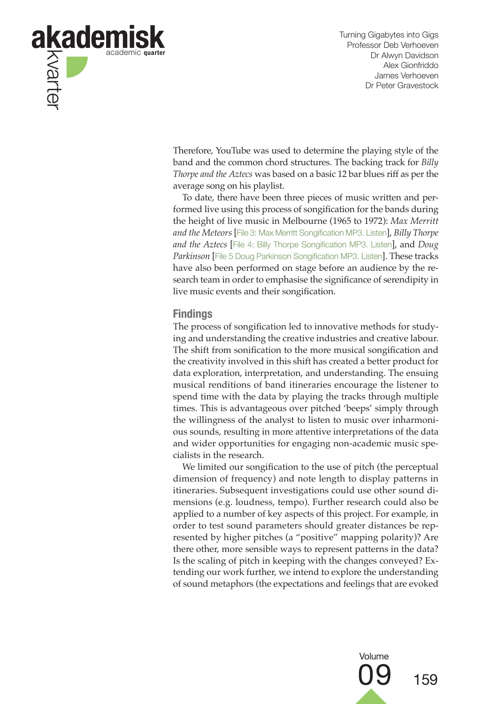

Therefore, YouTube was used to determine the playing style of the band and the common chord structures. The backing track for *Billy Thorpe and the Aztecs* was based on a basic 12 bar blues riff as per the average song on his playlist.

To date, there have been three pieces of music written and performed live using this process of songification for the bands during the height of live music in Melbourne (1965 to 1972): *Max Merritt and the Meteors* [File 3: Max Merritt Songification MP3. Listen], *Billy Thorpe and the Aztecs* [File 4: Billy Thorpe Songification MP3. Listen], and *Doug Parkinson* [File 5 Doug Parkinson Songification MP3. Listen]. These tracks have also been performed on stage before an audience by the research team in order to emphasise the significance of serendipity in live music events and their songification.

#### **Findings**

The process of songification led to innovative methods for studying and understanding the creative industries and creative labour. The shift from sonification to the more musical songification and the creativity involved in this shift has created a better product for data exploration, interpretation, and understanding. The ensuing musical renditions of band itineraries encourage the listener to spend time with the data by playing the tracks through multiple times. This is advantageous over pitched 'beeps' simply through the willingness of the analyst to listen to music over inharmonious sounds, resulting in more attentive interpretations of the data and wider opportunities for engaging non-academic music specialists in the research.

We limited our songification to the use of pitch (the perceptual dimension of frequency) and note length to display patterns in itineraries. Subsequent investigations could use other sound dimensions (e.g. loudness, tempo). Further research could also be applied to a number of key aspects of this project. For example, in order to test sound parameters should greater distances be represented by higher pitches (a "positive" mapping polarity)? Are there other, more sensible ways to represent patterns in the data? Is the scaling of pitch in keeping with the changes conveyed? Extending our work further, we intend to explore the understanding of sound metaphors (the expectations and feelings that are evoked

Volume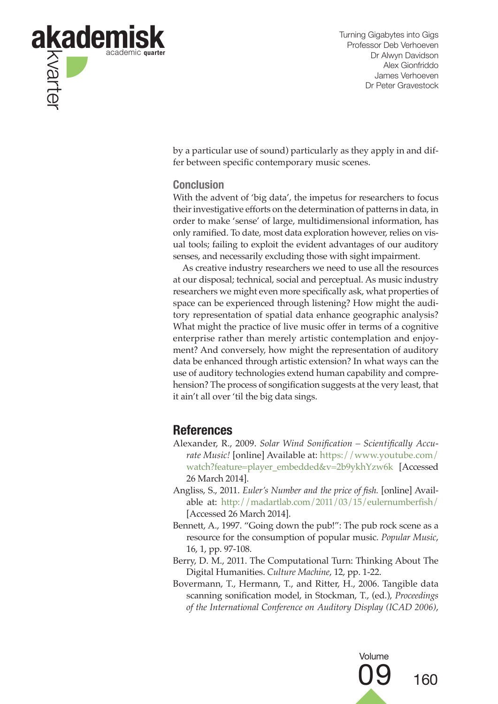

by a particular use of sound) particularly as they apply in and differ between specific contemporary music scenes.

## **Conclusion**

With the advent of 'big data', the impetus for researchers to focus their investigative efforts on the determination of patterns in data, in order to make 'sense' of large, multidimensional information, has only ramified. To date, most data exploration however, relies on visual tools; failing to exploit the evident advantages of our auditory senses, and necessarily excluding those with sight impairment.

As creative industry researchers we need to use all the resources at our disposal; technical, social and perceptual. As music industry researchers we might even more specifically ask, what properties of space can be experienced through listening? How might the auditory representation of spatial data enhance geographic analysis? What might the practice of live music offer in terms of a cognitive enterprise rather than merely artistic contemplation and enjoyment? And conversely, how might the representation of auditory data be enhanced through artistic extension? In what ways can the use of auditory technologies extend human capability and comprehension? The process of songification suggests at the very least, that it ain't all over 'til the big data sings.

# **References**

- Alexander, R., 2009. *Solar Wind Sonification Scientifically Accurate Music!* [online] Available at: https://www.youtube.com/ watch?feature=player\_embedded&v=2b9ykhYzw6k [Accessed 26 March 2014].
- Angliss, S., 2011. *Euler's Number and the price of fish.* [online] Available at: http://madartlab.com/2011/03/15/eulernumberfish/ [Accessed 26 March 2014].
- Bennett, A., 1997. "Going down the pub!": The pub rock scene as a resource for the consumption of popular music. *Popular Music*, 16, 1, pp. 97-108.
- Berry, D. M., 2011. The Computational Turn: Thinking About The Digital Humanities. *Culture Machine*, 12, pp. 1-22.
- Bovermann, T., Hermann, T., and Ritter, H., 2006. Tangible data scanning sonification model, in Stockman, T., (ed.), *Proceedings of the International Conference on Auditory Display (ICAD 2006)*,

Volume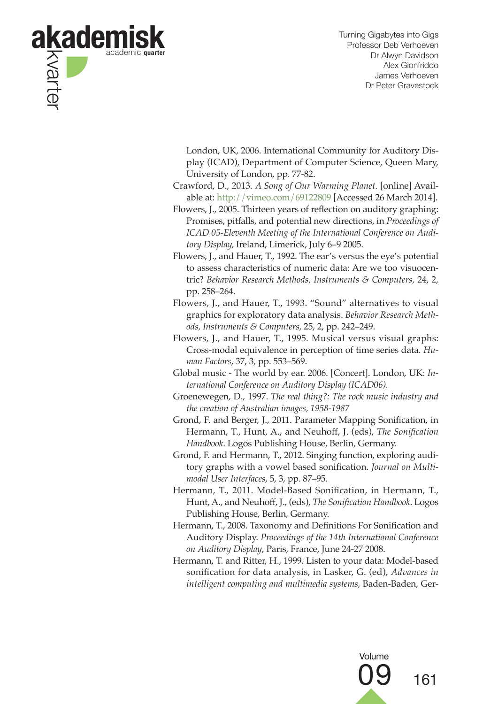

London, UK, 2006. International Community for Auditory Display (ICAD), Department of Computer Science, Queen Mary, University of London, pp. 77-82.

- Crawford, D., 2013. *A Song of Our Warming Planet*. [online] Available at: http://vimeo.com/69122809 [Accessed 26 March 2014].
- Flowers, J., 2005. Thirteen years of reflection on auditory graphing: Promises, pitfalls, and potential new directions, in *Proceedings of ICAD 05-Eleventh Meeting of the International Conference on Auditory Display,* Ireland, Limerick, July 6–9 2005.
- Flowers, J., and Hauer, T., 1992. The ear's versus the eye's potential to assess characteristics of numeric data: Are we too visuocentric? *Behavior Research Methods, Instruments & Computers*, 24, 2, pp. 258–264.
- Flowers, J., and Hauer, T., 1993. "Sound" alternatives to visual graphics for exploratory data analysis. *Behavior Research Methods, Instruments & Computers*, 25, 2, pp. 242–249.
- Flowers, J., and Hauer, T., 1995. Musical versus visual graphs: Cross-modal equivalence in perception of time series data. *Human Factors*, 37, 3, pp. 553–569.
- Global music The world by ear. 2006. [Concert]. London, UK: *International Conference on Auditory Display (ICAD06).*
- Groenewegen, D., 1997. *The real thing?: The rock music industry and the creation of Australian images, 1958-1987*
- Grond, F. and Berger, J., 2011. Parameter Mapping Sonification, in Hermann, T., Hunt, A., and Neuhoff, J. (eds), *The Sonification Handbook*. Logos Publishing House, Berlin, Germany.
- Grond, F. and Hermann, T., 2012. Singing function, exploring auditory graphs with a vowel based sonification. *Journal on Multimodal User Interfaces*, 5, 3, pp. 87–95.
- Hermann, T., 2011. Model-Based Sonification, in Hermann, T., Hunt, A., and Neuhoff, J., (eds), *The Sonification Handbook*. Logos Publishing House, Berlin, Germany.
- Hermann, T., 2008. Taxonomy and Definitions For Sonification and Auditory Display. *Proceedings of the 14th International Conference on Auditory Display*, Paris, France, June 24-27 2008.
- Hermann, T. and Ritter, H., 1999. Listen to your data: Model-based sonification for data analysis, in Lasker, G. (ed), *Advances in intelligent computing and multimedia systems*, Baden-Baden, Ger-

Volume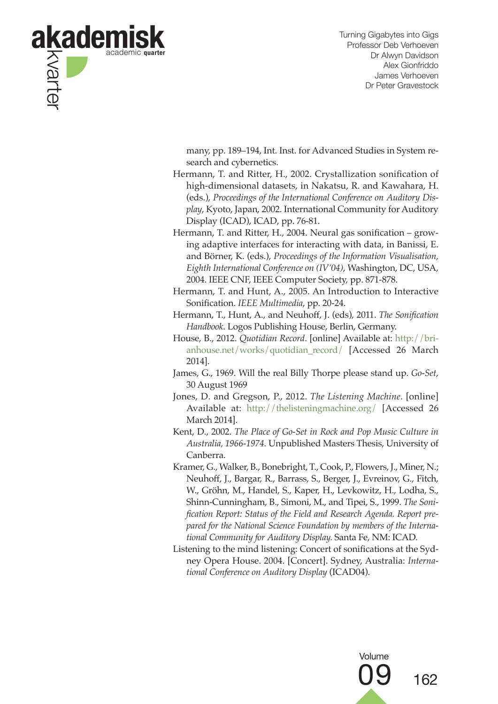

many, pp. 189–194, Int. Inst. for Advanced Studies in System research and cybernetics.

- Hermann, T. and Ritter, H., 2002. Crystallization sonification of high-dimensional datasets, in Nakatsu, R. and Kawahara, H. (eds.), *Proceedings of the International Conference on Auditory Display*, Kyoto, Japan, 2002. International Community for Auditory Display (ICAD), ICAD, pp. 76-81.
- Hermann, T. and Ritter, H., 2004. Neural gas sonification growing adaptive interfaces for interacting with data, in Banissi, E. and Börner, K. (eds.), *Proceedings of the Information Visualisation, Eighth International Conference on (IV'04)*, Washington, DC, USA, 2004. IEEE CNF, IEEE Computer Society, pp. 871-878.
- Hermann, T. and Hunt, A., 2005. An Introduction to Interactive Sonification. *IEEE Multimedia*, pp. 20-24.
- Hermann, T., Hunt, A., and Neuhoff, J. (eds), 2011. *The Sonification Handbook*. Logos Publishing House, Berlin, Germany.
- House, B., 2012. *Quotidian Record*. [online] Available at: http://brianhouse.net/works/quotidian\_record/ [Accessed 26 March 2014].
- James, G., 1969. Will the real Billy Thorpe please stand up. *Go-Set*, 30 August 1969
- Jones, D. and Gregson, P., 2012. *The Listening Machine*. [online] Available at: http://thelisteningmachine.org/ [Accessed 26 March 2014].
- Kent, D., 2002. *The Place of Go-Set in Rock and Pop Music Culture in Australia, 1966-1974.* Unpublished Masters Thesis, University of Canberra.
- Kramer, G., Walker, B., Bonebright, T., Cook, P., Flowers, J., Miner, N.; Neuhoff, J., Bargar, R., Barrass, S., Berger, J., Evreinov, G., Fitch, W., Gröhn, M., Handel, S., Kaper, H., Levkowitz, H., Lodha, S., Shinn-Cunningham, B., Simoni, M., and Tipei, S., 1999. *The Sonification Report: Status of the Field and Research Agenda. Report prepared for the National Science Foundation by members of the International Community for Auditory Display.* Santa Fe, NM: ICAD*.*
- Listening to the mind listening: Concert of sonifications at the Sydney Opera House. 2004. [Concert]. Sydney, Australia: *International Conference on Auditory Display* (ICAD04).

Volume